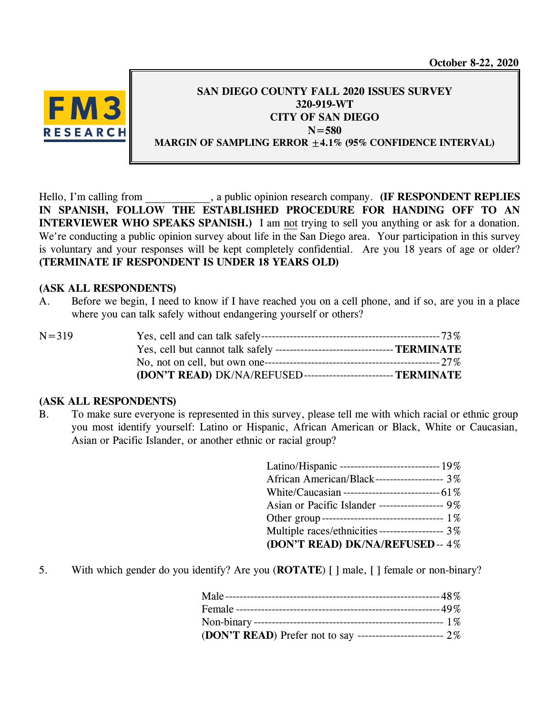**October 8-22, 2020**



# **SAN DIEGO COUNTY FALL 2020 ISSUES SURVEY 320-919-WT CITY OF SAN DIEGO N=580 MARGIN OF SAMPLING ERROR ±4.1% (95% CONFIDENCE INTERVAL)**

Hello, I'm calling from  $\alpha$ , a public opinion research company. **(IF RESPONDENT REPLIES IN SPANISH, FOLLOW THE ESTABLISHED PROCEDURE FOR HANDING OFF TO AN INTERVIEWER WHO SPEAKS SPANISH.)** I am not trying to sell you anything or ask for a donation. We're conducting a public opinion survey about life in the San Diego area. Your participation in this survey is voluntary and your responses will be kept completely confidential. Are you 18 years of age or older? **(TERMINATE IF RESPONDENT IS UNDER 18 YEARS OLD)**

# **(ASK ALL RESPONDENTS)**

A. Before we begin, I need to know if I have reached you on a cell phone, and if so, are you in a place where you can talk safely without endangering yourself or others?

| $N = 319$ |                                                               |  |
|-----------|---------------------------------------------------------------|--|
|           |                                                               |  |
|           |                                                               |  |
|           | (DON'T READ) DK/NA/REFUSED--------------------------TERMINATE |  |

# **(ASK ALL RESPONDENTS)**

B. To make sure everyone is represented in this survey, please tell me with which racial or ethnic group you most identify yourself: Latino or Hispanic, African American or Black, White or Caucasian, Asian or Pacific Islander, or another ethnic or racial group?

| Latino/Hispanic -------------------------------- 19% |
|------------------------------------------------------|
| African American/Black------------------- 3%         |
|                                                      |
| Asian or Pacific Islander ------------------ 9%      |
| Other group---------------------------------- 1%     |
| Multiple races/ethnicities ----------------- 3%      |
| (DON'T READ) DK/NA/REFUSED--4%                       |

5. With which gender do you identify? Are you (**ROTATE**) [ ] male, [ ] female or non-binary?

| (DON'T READ) Prefer not to say ------------------------- 2% |  |
|-------------------------------------------------------------|--|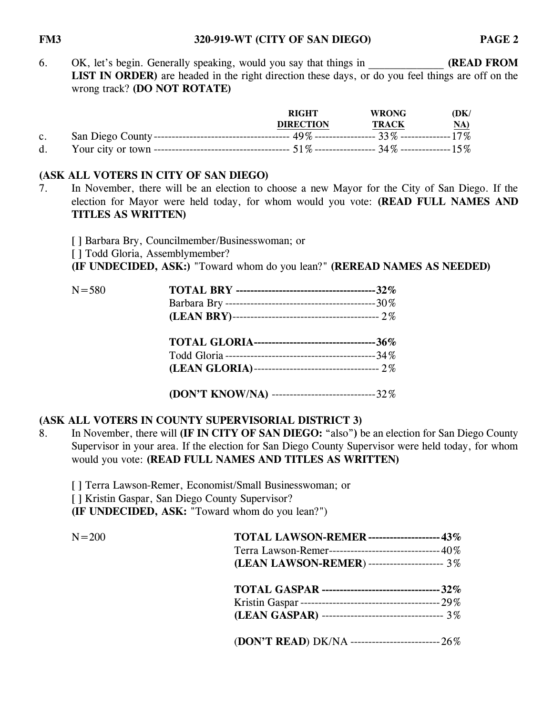#### **FM3 320-919-WT (CITY OF SAN DIEGO) PAGE 2**

6. OK, let's begin. Generally speaking, would you say that things in **(READ FROM** LIST IN ORDER) are headed in the right direction these days, or do you feel things are off on the wrong track? **(DO NOT ROTATE)**

|             | <b>RIGHT</b>     | <b>WRONG</b> | (DK)       |
|-------------|------------------|--------------|------------|
|             | <b>DIRECTION</b> | <b>TRACK</b> | <u>NA)</u> |
| $c_{\cdot}$ |                  |              |            |
| d.          |                  |              |            |

# **(ASK ALL VOTERS IN CITY OF SAN DIEGO)**

7. In November, there will be an election to choose a new Mayor for the City of San Diego. If the election for Mayor were held today, for whom would you vote: **(READ FULL NAMES AND TITLES AS WRITTEN)**

[ ] Barbara Bry, Councilmember/Businesswoman; or [ ] Todd Gloria, Assemblymember? **(IF UNDECIDED, ASK:)** "Toward whom do you lean?" **(REREAD NAMES AS NEEDED)**

| $N = 580$ |                                                         |  |
|-----------|---------------------------------------------------------|--|
|           |                                                         |  |
|           |                                                         |  |
|           | <b>TOTAL GLORIA---------------------------------36%</b> |  |
|           |                                                         |  |
|           |                                                         |  |

**(DON'T KNOW/NA)** -----------------------------32%

# **(ASK ALL VOTERS IN COUNTY SUPERVISORIAL DISTRICT 3)**

8. In November, there will **(IF IN CITY OF SAN DIEGO:** "also"**)** be an election for San Diego County Supervisor in your area. If the election for San Diego County Supervisor were held today, for whom would you vote: **(READ FULL NAMES AND TITLES AS WRITTEN)**

[ ] Terra Lawson-Remer, Economist/Small Businesswoman; or [ ] Kristin Gaspar, San Diego County Supervisor? **(IF UNDECIDED, ASK:** "Toward whom do you lean?")

| $N = 200$ | <b>TOTAL LAWSON-REMER ------------------ 43%</b>      |  |
|-----------|-------------------------------------------------------|--|
|           | Terra Lawson-Remer------------------------------- 40% |  |
|           | (LEAN LAWSON-REMER) --------------------- 3%          |  |
|           | TOTAL GASPAR ----------------------------------- 32%  |  |
|           |                                                       |  |
|           | (LEAN GASPAR) ---------------------------------- 3%   |  |
|           | (DON'T READ) DK/NA ------------------------------ 26% |  |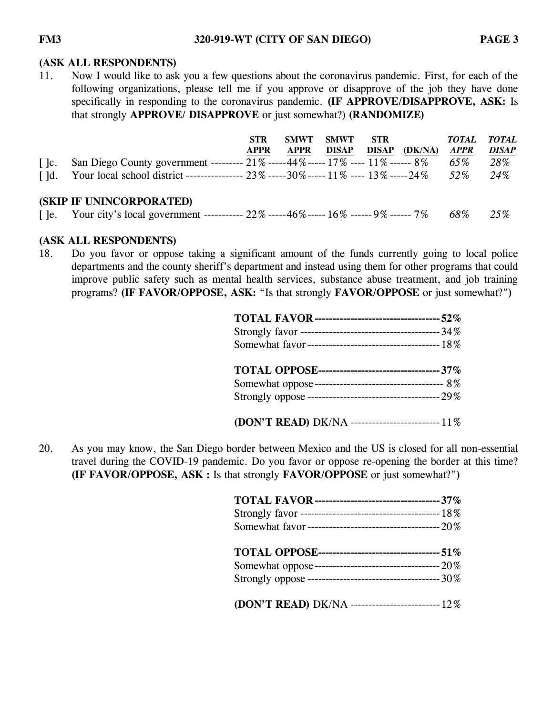### **(ASK ALL RESPONDENTS)**

11. Now I would like to ask you a few questions about the coronavirus pandemic. First, for each of the following organizations, please tell me if you approve or disapprove of the job they have done specifically in responding to the coronavirus pandemic. **(IF APPROVE/DISAPPROVE, ASK:** Is that strongly **APPROVE/ DISAPPROVE** or just somewhat?) **(RANDOMIZE)**

|                                    |                                                                                                    | <b>STR</b>  | <b>SMWT</b> | SMWT  | STR          |         | <i>TOTAL</i> | <b>TOTAL</b> |
|------------------------------------|----------------------------------------------------------------------------------------------------|-------------|-------------|-------|--------------|---------|--------------|--------------|
|                                    |                                                                                                    | <b>APPR</b> | <b>APPR</b> | DISAP | <b>DISAP</b> | (DK/NA) | <b>APPR</b>  | <b>DISAP</b> |
| $\vert$ $\vert$ $\vert$ $\rm{c}$ . | San Diego County government --------- 21% -----44% ----- 17% ---- 11% ------ 8%                    |             |             |       |              |         | 65%          | 28%          |
|                                    | []d. Your local school district ---------------- $23\%$ -----30% ----- $11\%$ ---- $13\%$ -----24% |             |             |       |              |         | $52\%$       | 24\%         |
|                                    | <b>(SKIP IF UNINCORPORATED)</b>                                                                    |             |             |       |              |         |              |              |
|                                    | [ ]e. Your city's local government ----------- $22\%$ -----46\% ------ 16\% ------ 9\% ------ 7\%  |             |             |       |              |         | 68%          | 25%          |

### **(ASK ALL RESPONDENTS)**

18. Do you favor or oppose taking a significant amount of the funds currently going to local police departments and the county sheriff's department and instead using them for other programs that could improve public safety such as mental health services, substance abuse treatment, and job training programs? **(IF FAVOR/OPPOSE, ASK:** "Is that strongly **FAVOR/OPPOSE** or just somewhat?"**)**

| <b>TOTAL OPPOSE--------------------------------- 37%</b> |  |
|----------------------------------------------------------|--|
|                                                          |  |
|                                                          |  |
| (DON'T READ) DK/NA ---------------------------- 11%      |  |

20. As you may know, the San Diego border between Mexico and the US is closed for all non-essential travel during the COVID-19 pandemic. Do you favor or oppose re-opening the border at this time? **(IF FAVOR/OPPOSE, ASK :** Is that strongly **FAVOR/OPPOSE** or just somewhat?"**)**

| (DON'T READ) DK/NA -------------------------- 12% |  |
|---------------------------------------------------|--|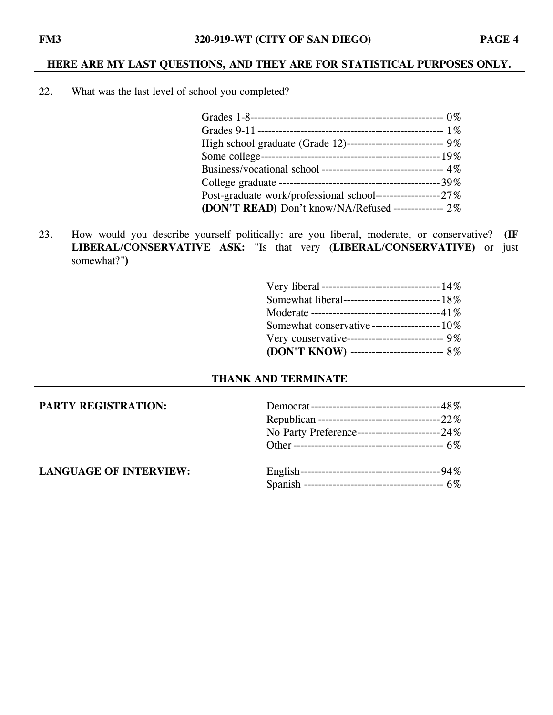# **HERE ARE MY LAST QUESTIONS, AND THEY ARE FOR STATISTICAL PURPOSES ONLY.**

22. What was the last level of school you completed?

| High school graduate (Grade 12)--------------------------- 9% |  |
|---------------------------------------------------------------|--|
|                                                               |  |
|                                                               |  |
|                                                               |  |
|                                                               |  |
| (DON'T READ) Don't know/NA/Refused -------------- 2%          |  |
|                                                               |  |

23. How would you describe yourself politically: are you liberal, moderate, or conservative? **(IF LIBERAL/CONSERVATIVE ASK:** "Is that very (**LIBERAL/CONSERVATIVE)** or just somewhat?"**)**

| Very liberal -------------------------------- 14% |  |
|---------------------------------------------------|--|
| Somewhat liberal---------------------------- 18%  |  |
|                                                   |  |
| Somewhat conservative ------------------- 10%     |  |
| Very conservative--------------------------- 9%   |  |
| (DON'T KNOW) -------------------------- 8%        |  |

# **THANK AND TERMINATE**

| <b>PARTY REGISTRATION:</b>    |                                                      |  |  |
|-------------------------------|------------------------------------------------------|--|--|
|                               |                                                      |  |  |
|                               | No Party Preference----------------------------- 24% |  |  |
|                               |                                                      |  |  |
| <b>LANGUAGE OF INTERVIEW:</b> |                                                      |  |  |